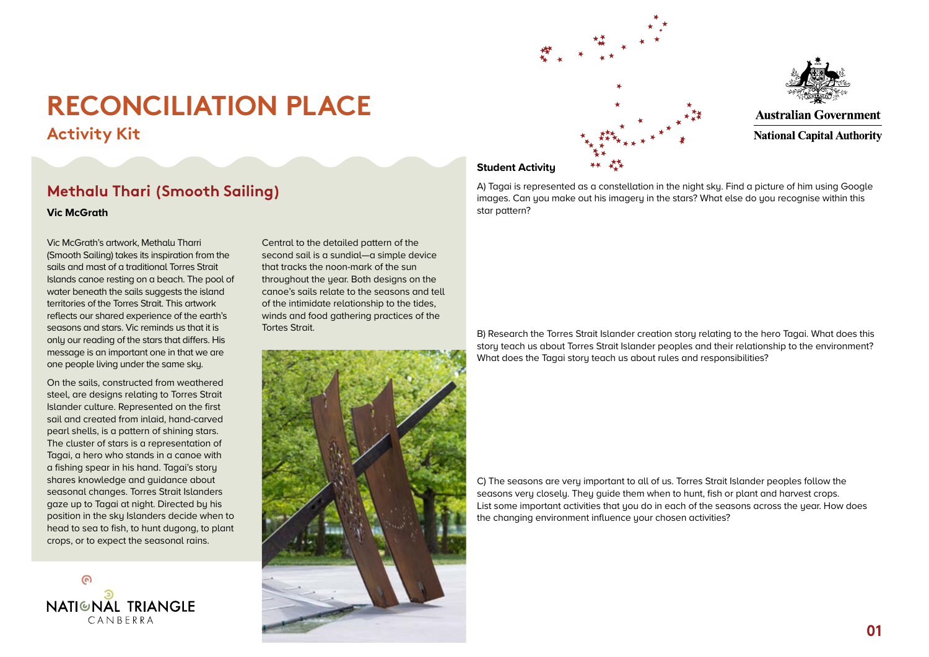**Activity Kit**

## **Methalu Thari (Smooth Sailing)**

**Vic McGrath**

Vic McGrath's artwork, Methalu Tharri (Smooth Sailing) takes its inspiration from the sails and mast of a traditional Torres Strait Islands canoe resting on a beach. The pool of water beneath the sails suggests the island territories of the Torres Strait. This artwork reflects our shared experience of the earth's seasons and stars. Vic reminds us that it is only our reading of the stars that differs. His message is an important one in that we are one people living under the same sky.

On the sails, constructed from weathered steel, are designs relating to Torres Strait Islander culture. Represented on the first sail and created from inlaid, hand-carved pearl shells, is a pattern of shining stars. The cluster of stars is a representation of Tagai, a hero who stands in a canoe with a fishing spear in his hand. Tagai's story shares knowledge and guidance about seasonal changes. Torres Strait Islanders gaze up to Tagai at night. Directed by his position in the sky Islanders decide when to head to sea to fish, to hunt dugong, to plant crops, or to expect the seasonal rains.

**NATIGNAL TRIANGLE**  $CANREPRA$ 

Central to the detailed pattern of the second sail is a sundial—a simple device that tracks the noon-mark of the sun throughout the year. Both designs on the canoe's sails relate to the seasons and tell of the intimidate relationship to the tides, winds and food gathering practices of the Tortes Strait.







**Australian Government National Capital Authority** 

### **Student Activity**

A) Tagai is represented as a constellation in the night sky. Find a picture of him using Google images. Can you make out his imagery in the stars? What else do you recognise within this star pattern?

B) Research the Torres Strait Islander creation story relating to the hero Tagai. What does this story teach us about Torres Strait Islander peoples and their relationship to the environment? What does the Tagai story teach us about rules and responsibilities?

C) The seasons are very important to all of us. Torres Strait Islander peoples follow the seasons very closely. They guide them when to hunt, fish or plant and harvest crops. List some important activities that you do in each of the seasons across the year. How does the changing environment influence your chosen activities?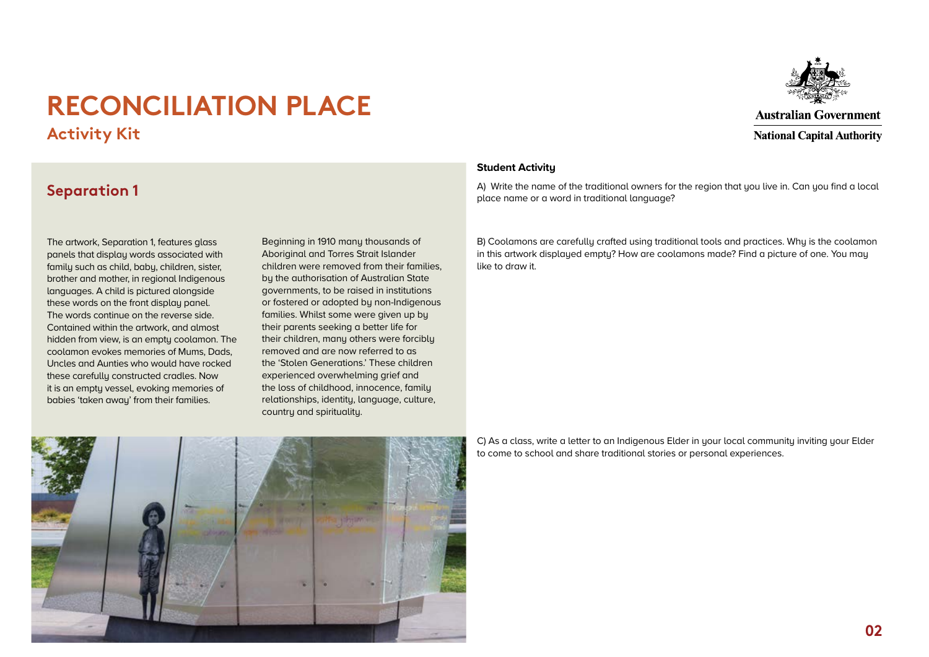**Activity Kit**



### **Separation 1**

The artwork, Separation 1, features glass panels that display words associated with family such as child, baby, children, sister, brother and mother, in regional Indigenous languages. A child is pictured alongside these words on the front display panel. The words continue on the reverse side. Contained within the artwork, and almost hidden from view, is an empty coolamon. The coolamon evokes memories of Mums, Dads, Uncles and Aunties who would have rocked these carefullu constructed cradles. Now it is an empty vessel, evoking memories of babies 'taken away' from their families.

Beginning in 1910 many thousands of Aboriginal and Torres Strait Islander children were removed from their families, by the authorisation of Australian State governments, to be raised in institutions or fostered or adopted by non-Indigenous families. Whilst some were given up by their parents seeking a better life for their children, many others were forcibly removed and are now referred to as the 'Stolen Generations.' These children experienced overwhelming grief and the loss of childhood, innocence, family relationships, identity, language, culture, country and spirituality.

### **Student Activity**

A) Write the name of the traditional owners for the region that you live in. Can you find a local place name or a word in traditional language?

B) Coolamons are carefully crafted using traditional tools and practices. Why is the coolamon in this artwork displayed empty? How are coolamons made? Find a picture of one. You may like to draw it.



C) As a class, write a letter to an Indigenous Elder in your local community inviting your Elder to come to school and share traditional stories or personal experiences.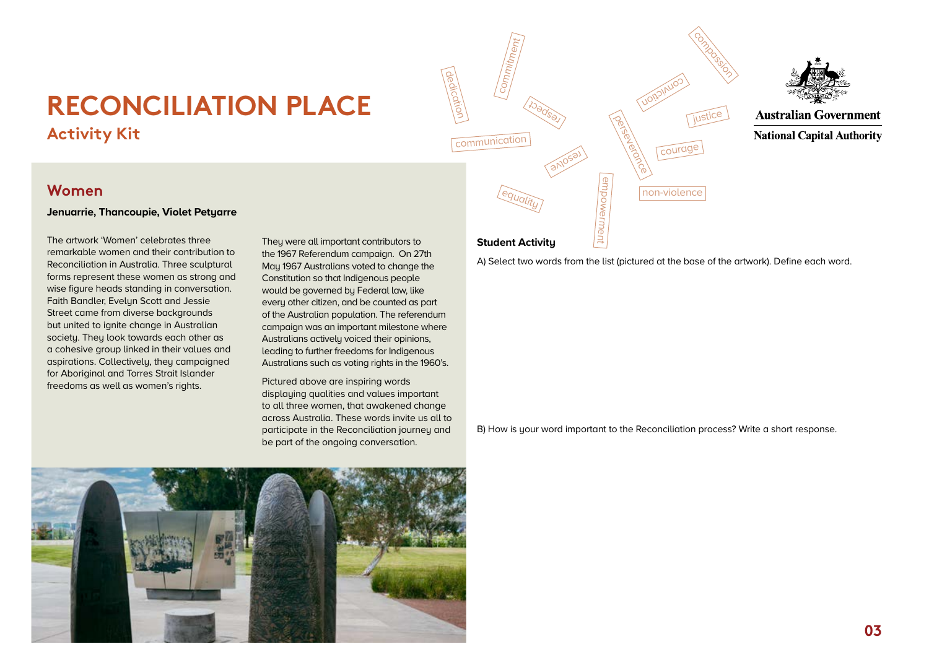# **RECONCILIATION PLACE Activity Kit**



### **Women**

#### **Jenuarrie, Thancoupie, Violet Petyarre**

The artwork 'Women' celebrates three remarkable women and their contribution to Reconciliation in Australia. Three sculptural forms represent these women as strong and wise figure heads standing in conversation. Faith Bandler, Evelyn Scott and Jessie Street came from diverse backgrounds but united to ignite change in Australian society. They look towards each other as a cohesive group linked in their values and aspirations. Collectively, they campaigned for Aboriginal and Torres Strait Islander freedoms as well as women's rights.

They were all important contributors to the 1967 Referendum campaign. On 27th May 1967 Australians voted to change the Constitution so that Indigenous people would be governed by Federal law, like every other citizen, and be counted as part of the Australian population. The referendum campaign was an important milestone where Australians actively voiced their opinions, leading to further freedoms for Indigenous Australians such as voting rights in the 1960's.

Pictured above are inspiring words displaying qualities and values important to all three women, that awakened change across Australia. These words invite us all to participate in the Reconciliation journey and be part of the ongoing conversation.

### **Student Activity**

A) Select two words from the list (pictured at the base of the artwork). Define each word.

B) How is your word important to the Reconciliation process? Write a short response.

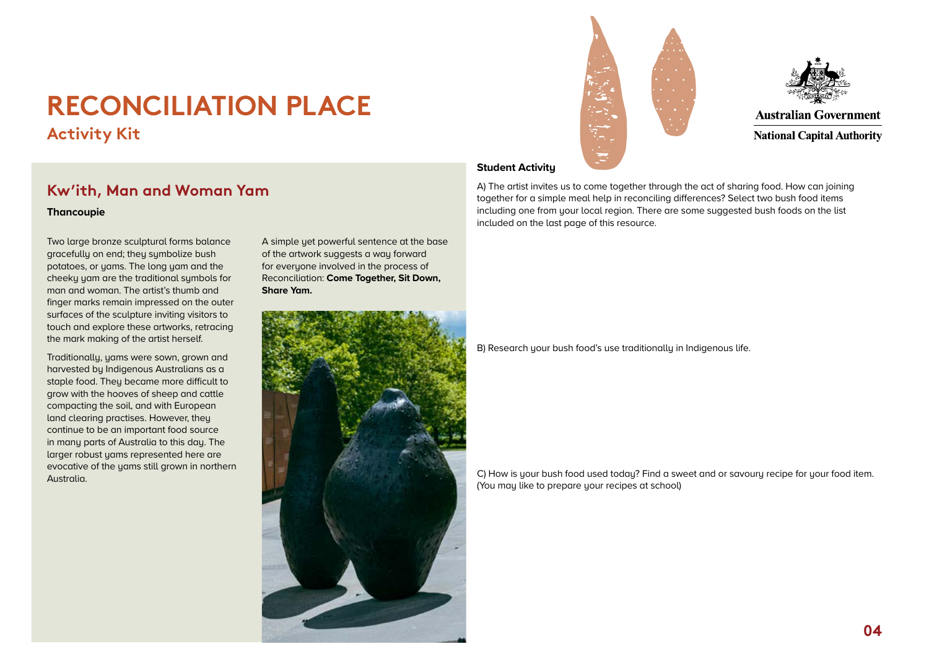**Activity Kit**

## **Kw'ith, Man and Woman Yam**

#### **Thancoupie**

Two large bronze sculptural forms balance gracefully on end; they symbolize bush potatoes, or yams. The long yam and the cheeky yam are the traditional symbols for man and woman. The artist's thumb and finger marks remain impressed on the outer surfaces of the sculpture inviting visitors to touch and explore these artworks, retracing the mark making of the artist herself.

Traditionally, yams were sown, grown and harvested by Indigenous Australians as a staple food. They became more difficult to grow with the hooves of sheep and cattle compacting the soil, and with European land clearing practises. However, they continue to be an important food source in many parts of Australia to this day. The larger robust yams represented here are evocative of the yams still grown in northern Australia.

A simple yet powerful sentence at the base of the artwork suggests a way forward for everyone involved in the process of Reconciliation: **Come Together, Sit Down, Share Yam.** 







**Australian Government National Capital Authority** 

### **Student Activity**

A) The artist invites us to come together through the act of sharing food. How can joining together for a simple meal help in reconciling differences? Select two bush food items including one from your local region. There are some suggested bush foods on the list included on the last page of this resource.

B) Research your bush food's use traditionally in Indigenous life.

C) How is your bush food used today? Find a sweet and or savoury recipe for your food item. (You may like to prepare your recipes at school)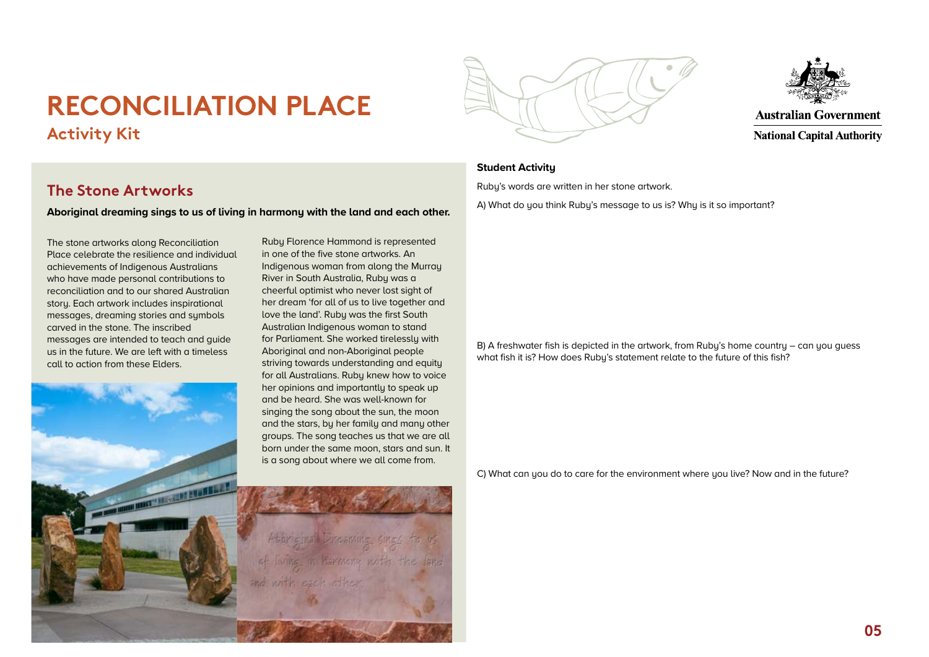# **RECONCILIATION PLACE Activity Kit**

### **The Stone Artworks**

**Aboriginal dreaming sings to us of living in harmony with the land and each other.**

The stone artworks along Reconciliation Place celebrate the resilience and individual achievements of Indigenous Australians who have made personal contributions to reconciliation and to our shared Australian story. Each artwork includes inspirational messages, dreaming stories and symbols carved in the stone. The inscribed messages are intended to teach and guide us in the future. We are left with a timeless call to action from these Elders.

**CONTRACTOR AND REAL PROPERTY** 

in one of the five stone artworks. An Indigenous woman from along the Murray River in South Australia, Ruby was a cheerful optimist who never lost sight of her dream 'for all of us to live together and love the land'. Ruby was the first South Australian Indigenous woman to stand for Parliament. She worked tirelessly with Aboriginal and non-Aboriginal people striving towards understanding and equity for all Australians. Ruby knew how to voice her opinions and importantly to speak up and be heard. She was well-known for singing the song about the sun, the moon and the stars, by her family and many other groups. The song teaches us that we are all born under the same moon, stars and sun. It is a song about where we all come from.

Ruby Florence Hammond is represented





**Australian Government National Capital Authority** 

### **Student Activity**

Ruby's words are written in her stone artwork.

A) What do you think Ruby's message to us is? Why is it so important?

B) A freshwater fish is depicted in the artwork, from Ruby's home country – can you guess what fish it is? How does Ruby's statement relate to the future of this fish?

C) What can you do to care for the environment where you live? Now and in the future?